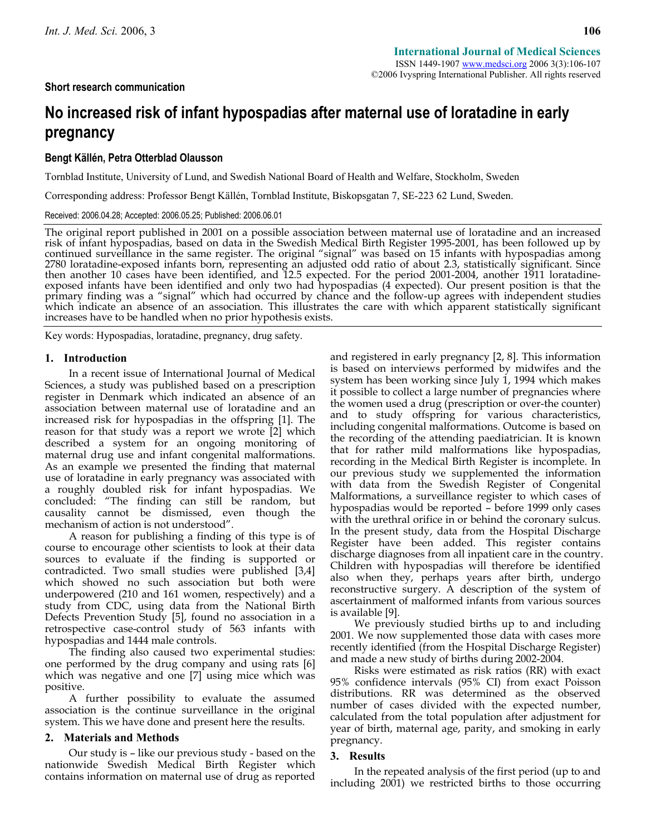# **Short research communication**

# **No increased risk of infant hypospadias after maternal use of loratadine in early pregnancy**

# **Bengt Källén, Petra Otterblad Olausson**

Tornblad Institute, University of Lund, and Swedish National Board of Health and Welfare, Stockholm, Sweden

Corresponding address: Professor Bengt Källén, Tornblad Institute, Biskopsgatan 7, SE-223 62 Lund, Sweden.

Received: 2006.04.28; Accepted: 2006.05.25; Published: 2006.06.01

The original report published in 2001 on a possible association between maternal use of loratadine and an increased risk of infant hypospadias, based on data in the Swedish Medical Birth Register 1995-2001, has been followed up by<br>continued surveillance in the same register. The original "signal" was based on 15 infants with hypospadias 2780 loratadine-exposed infants born, representing an adjusted odd ratio of about 2.3, statistically significant. Since<br>then another 10 cases have been identified, and 12.5 expected. For the period 2001-2004, another 1911 exposed infants have been identified and only two had hypospadias (4 expected). Our present position is that the primary finding was a "signal" which had occurred by chance and the follow-up agrees with independent studies which indicate an absence of an association. This illustrates the care with which apparent statistically significant increases have to be handled when no prior hypothesis exists.

Key words: Hypospadias, loratadine, pregnancy, drug safety.

## **1. Introduction**

In a recent issue of International Journal of Medical Sciences, a study was published based on a prescription register in Denmark which indicated an absence of an association between maternal use of loratadine and an increased risk for hypospadias in the offspring [1]. The reason for that study was a report we wrote [2] which described a system for an ongoing monitoring of maternal drug use and infant congenital malformations. As an example we presented the finding that maternal use of loratadine in early pregnancy was associated with a roughly doubled risk for infant hypospadias. We concluded: "The finding can still be random, but causality cannot be dismissed, even though the mechanism of action is not understood".

A reason for publishing a finding of this type is of course to encourage other scientists to look at their data sources to evaluate if the finding is supported or contradicted. Two small studies were published [3,4] which showed no such association but both were underpowered (210 and 161 women, respectively) and a study from CDC, using data from the National Birth Defects Prevention Study [5], found no association in a retrospective case-control study of 563 infants with hypospadias and 1444 male controls.

The finding also caused two experimental studies: one performed by the drug company and using rats [6] which was negative and one [7] using mice which was positive.

A further possibility to evaluate the assumed association is the continue surveillance in the original system. This we have done and present here the results.

## **2. Materials and Methods**

Our study is – like our previous study - based on the nationwide Swedish Medical Birth Register which contains information on maternal use of drug as reported and registered in early pregnancy [2, 8]. This information is based on interviews performed by midwifes and the system has been working since July 1, 1994 which makes it possible to collect a large number of pregnancies where the women used a drug (prescription or over-the counter) and to study offspring for various characteristics, including congenital malformations. Outcome is based on the recording of the attending paediatrician. It is known that for rather mild malformations like hypospadias, recording in the Medical Birth Register is incomplete. In our previous study we supplemented the information with data from the Swedish Register of Congenital Malformations, a surveillance register to which cases of hypospadias would be reported – before 1999 only cases with the urethral orifice in or behind the coronary sulcus. In the present study, data from the Hospital Discharge Register have been added. This register contains discharge diagnoses from all inpatient care in the country. Children with hypospadias will therefore be identified also when they, perhaps years after birth, undergo reconstructive surgery. A description of the system of ascertainment of malformed infants from various sources is available [9].

We previously studied births up to and including 2001. We now supplemented those data with cases more recently identified (from the Hospital Discharge Register) and made a new study of births during 2002-2004.

Risks were estimated as risk ratios (RR) with exact 95% confidence intervals (95% CI) from exact Poisson distributions. RR was determined as the observed number of cases divided with the expected number, calculated from the total population after adjustment for year of birth, maternal age, parity, and smoking in early pregnancy.

### **3. Results**

In the repeated analysis of the first period (up to and including 2001) we restricted births to those occurring